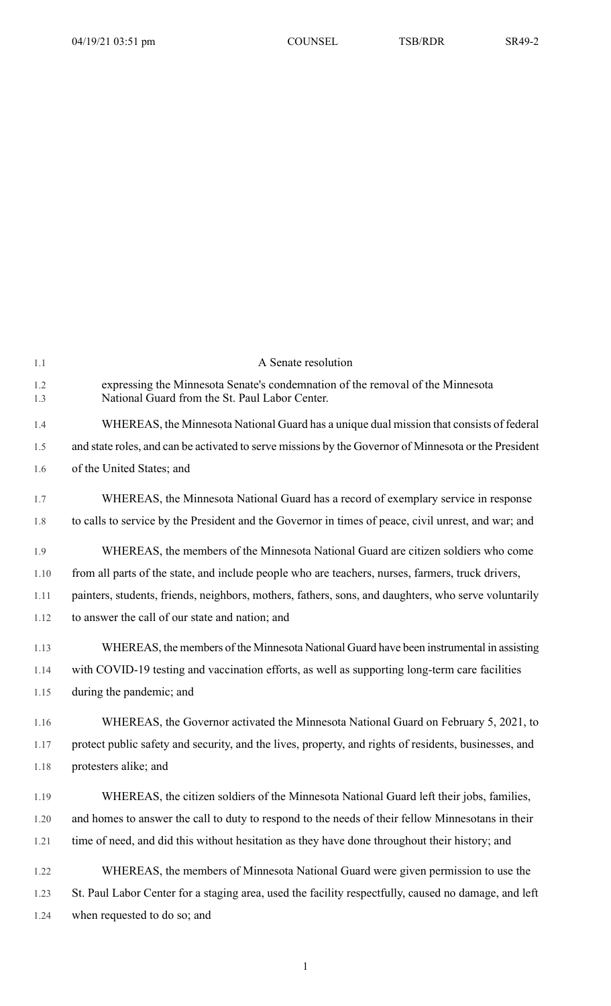| 1.1        | A Senate resolution                                                                                                              |
|------------|----------------------------------------------------------------------------------------------------------------------------------|
| 1.2<br>1.3 | expressing the Minnesota Senate's condemnation of the removal of the Minnesota<br>National Guard from the St. Paul Labor Center. |
| 1.4        | WHEREAS, the Minnesota National Guard has a unique dual mission that consists of federal                                         |
| 1.5        | and state roles, and can be activated to serve missions by the Governor of Minnesota or the President                            |
| 1.6        | of the United States; and                                                                                                        |
| 1.7        | WHEREAS, the Minnesota National Guard has a record of exemplary service in response                                              |
| 1.8        | to calls to service by the President and the Governor in times of peace, civil unrest, and war; and                              |
| 1.9        | WHEREAS, the members of the Minnesota National Guard are citizen soldiers who come                                               |
| 1.10       | from all parts of the state, and include people who are teachers, nurses, farmers, truck drivers,                                |
| 1.11       | painters, students, friends, neighbors, mothers, fathers, sons, and daughters, who serve voluntarily                             |
| 1.12       | to answer the call of our state and nation; and                                                                                  |
| 1.13       | WHEREAS, the members of the Minnesota National Guard have been instrumental in assisting                                         |
| 1.14       | with COVID-19 testing and vaccination efforts, as well as supporting long-term care facilities                                   |
| 1.15       | during the pandemic; and                                                                                                         |
| 1.16       | WHEREAS, the Governor activated the Minnesota National Guard on February 5, 2021, to                                             |
| 1.17       | protect public safety and security, and the lives, property, and rights of residents, businesses, and                            |
| 1.18       | protesters alike; and                                                                                                            |
| 1.19       | WHEREAS, the citizen soldiers of the Minnesota National Guard left their jobs, families,                                         |
| 1.20       | and homes to answer the call to duty to respond to the needs of their fellow Minnesotans in their                                |
| 1.21       | time of need, and did this without hesitation as they have done throughout their history; and                                    |
| 1.22       | WHEREAS, the members of Minnesota National Guard were given permission to use the                                                |
| 1.23       | St. Paul Labor Center for a staging area, used the facility respectfully, caused no damage, and left                             |
| 1.24       | when requested to do so; and                                                                                                     |

1